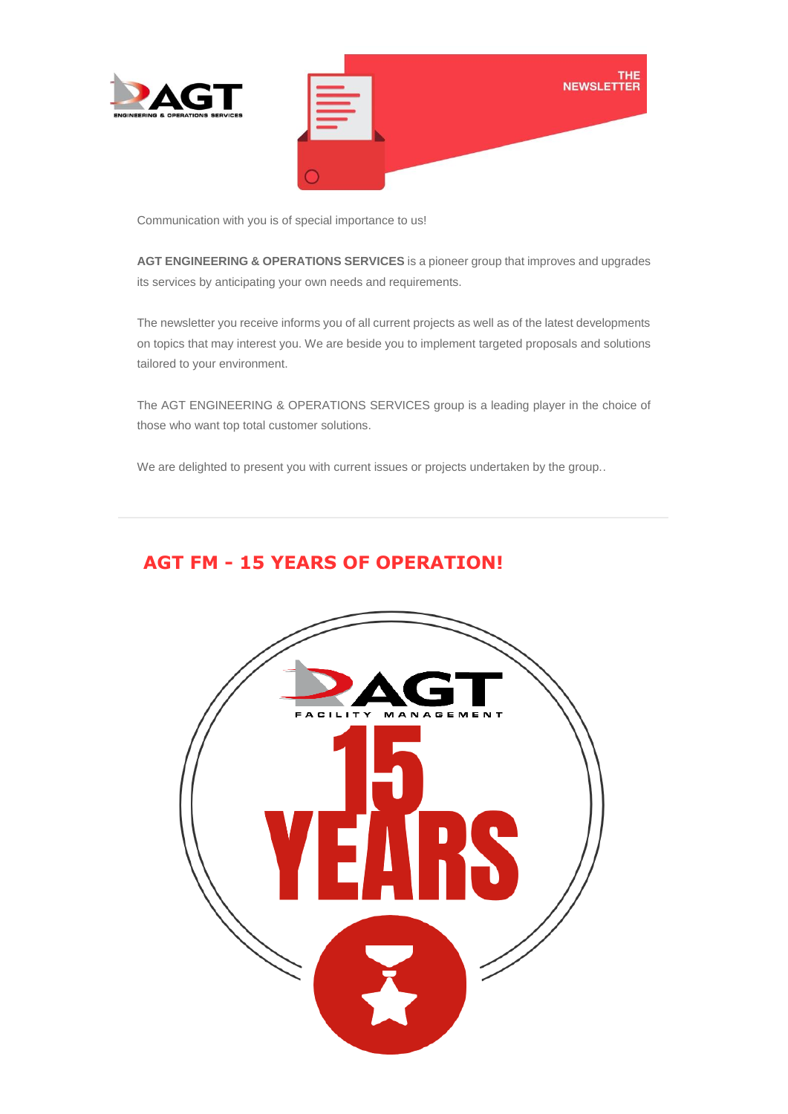



Communication with you is of special importance to us!

**AGT ENGINEERING & OPERATIONS SERVICES** is a pioneer group that improves and upgrades its services by anticipating your own needs and requirements.

The newsletter you receive informs you of all current projects as well as of the latest developments on topics that may interest you. We are beside you to implement targeted proposals and solutions tailored to your environment.

The AGT ENGINEERING & OPERATIONS SERVICES group is a leading player in the choice of those who want top total customer solutions.

We are delighted to present you with current issues or projects undertaken by the group..

## **AGT FM - 15 YEARS OF OPERATION!**

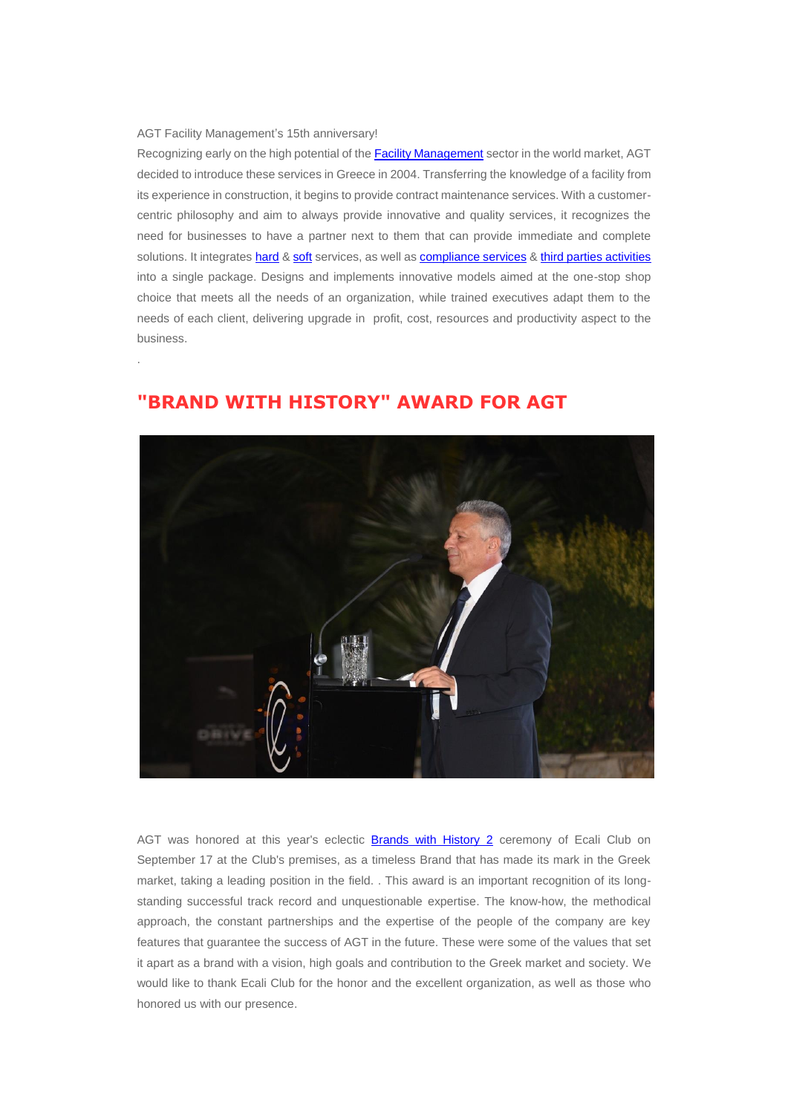## AGT Facility Management's 15th anniversary!

.

Recognizing early on the high potential of th[e Facility Management](https://www.agtgroup.gr/ypiresies/facilities-management/) sector in the world market, AGT decided to introduce these services in Greece in 2004. Transferring the knowledge of a facility from its experience in construction, it begins to provide contract maintenance services. With a customercentric philosophy and aim to always provide innovative and quality services, it recognizes the need for businesses to have a partner next to them that can provide immediate and complete solutions. It integrates [hard](http://https/www.agtgroup.gr/ypiresies/facilities-management/hard-services/) [& soft](https://www.agtgroup.gr/ypiresies/facilities-management/soft-services/) services, as well as [compliance services](https://www.agtgroup.gr/ypiresies/facilities-management/compliance-services/) [& third parties activities](https://www.agtgroup.gr/ypiresies/facilities-management/3rd-parties-activities/) into a single package. Designs and implements innovative models aimed at the one-stop shop choice that meets all the needs of an organization, while trained executives adapt them to the needs of each client, delivering upgrade in profit, cost, resources and productivity aspect to the business.



## **"BRAND WITH HISTORY" AWARD FOR AGT**

AGT was honored at this year's eclectic **[Brands with History 2](https://www.ecali-club.gr/el/events/brands-history-volume-2)** ceremony of Ecali Club on September 17 at the Club's premises, as a timeless Brand that has made its mark in the Greek market, taking a leading position in the field. . This award is an important recognition of its longstanding successful track record and unquestionable expertise. The know-how, the methodical approach, the constant partnerships and the expertise of the people of the company are key features that guarantee the success of AGT in the future. These were some of the values that set it apart as a brand with a vision, high goals and contribution to the Greek market and society. We would like to thank Ecali Club for the honor and the excellent organization, as well as those who honored us with our presence.